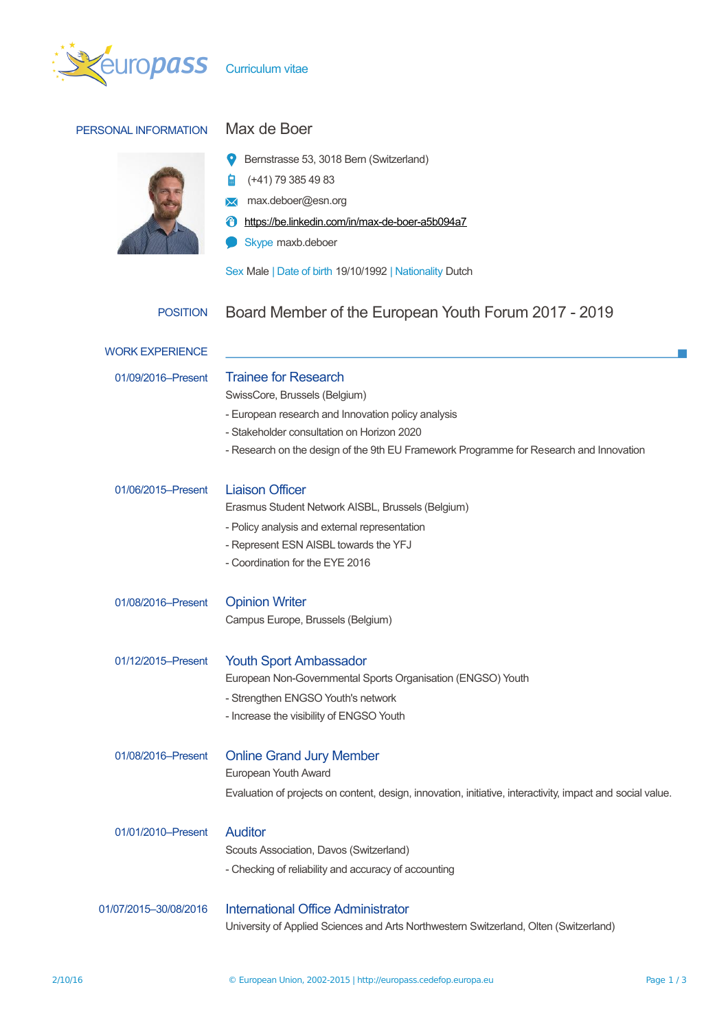

## PERSONAL INFORMATION Max de Boer



- (+41) 79 385 49 83 自
- **X** max.deboer@esn.org
- <https://be.linkedin.com/in/max-de-boer-a5b094a7>
- Skype maxb.deboer  $\blacksquare$

Sex Male | Date of birth 19/10/1992 | Nationality Dutch

## POSITION Board Member of the European Youth Forum 2017 - 2019

| <b>Trainee for Research</b><br>SwissCore, Brussels (Belgium)                                               |
|------------------------------------------------------------------------------------------------------------|
| - European research and Innovation policy analysis                                                         |
| - Stakeholder consultation on Horizon 2020                                                                 |
| - Research on the design of the 9th EU Framework Programme for Research and Innovation                     |
| <b>Liaison Officer</b>                                                                                     |
| Erasmus Student Network AISBL, Brussels (Belgium)                                                          |
| - Policy analysis and external representation                                                              |
| - Represent ESN AISBL towards the YFJ                                                                      |
| - Coordination for the EYE 2016                                                                            |
| <b>Opinion Writer</b>                                                                                      |
| Campus Europe, Brussels (Belgium)                                                                          |
| <b>Youth Sport Ambassador</b>                                                                              |
| European Non-Governmental Sports Organisation (ENGSO) Youth                                                |
| - Strengthen ENGSO Youth's network                                                                         |
| - Increase the visibility of ENGSO Youth                                                                   |
| <b>Online Grand Jury Member</b>                                                                            |
| European Youth Award                                                                                       |
| Evaluation of projects on content, design, innovation, initiative, interactivity, impact and social value. |
| <b>Auditor</b>                                                                                             |
| Scouts Association, Davos (Switzerland)                                                                    |
| - Checking of reliability and accuracy of accounting                                                       |
| <b>International Office Administrator</b>                                                                  |
| University of Applied Sciences and Arts Northwestern Switzerland, Olten (Switzerland)                      |
|                                                                                                            |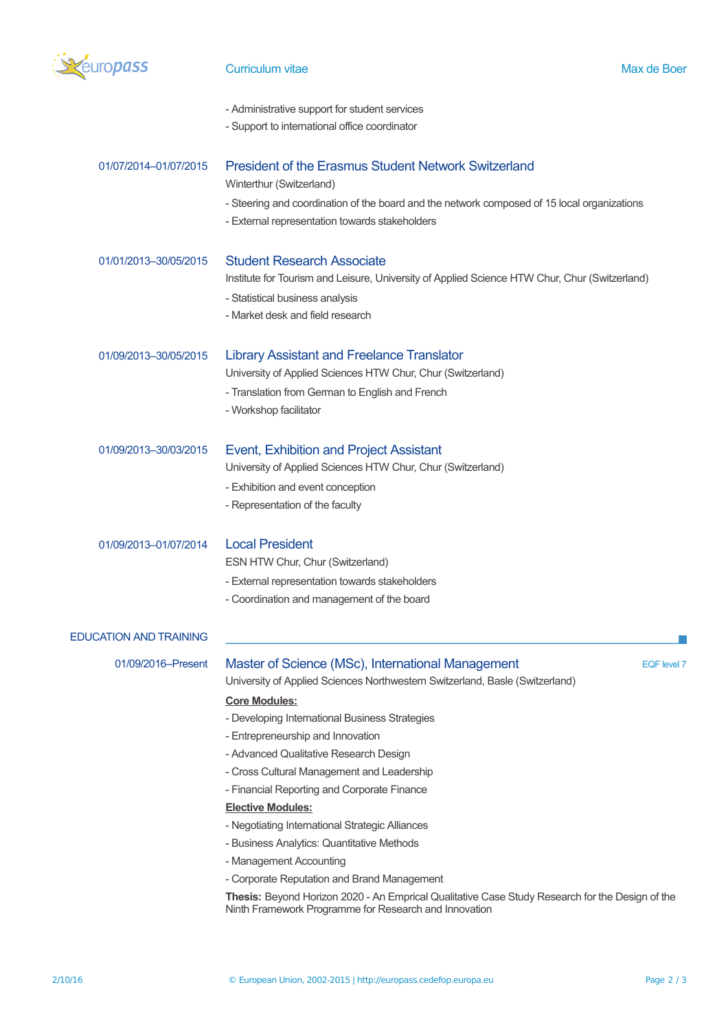

## Curriculum vitae and a state of the Max de Boer Max de Boer

| - Administrative support for student services |  |  |  |
|-----------------------------------------------|--|--|--|
|-----------------------------------------------|--|--|--|

- Support to international office coordinator

| 01/07/2014-01/07/2015         | <b>President of the Erasmus Student Network Switzerland</b><br>Winterthur (Switzerland)<br>- Steering and coordination of the board and the network composed of 15 local organizations<br>- External representation towards stakeholders                                                                                                                                                                                                                                                                                                                                                                                                                                                                                                                                         |  |  |  |  |
|-------------------------------|----------------------------------------------------------------------------------------------------------------------------------------------------------------------------------------------------------------------------------------------------------------------------------------------------------------------------------------------------------------------------------------------------------------------------------------------------------------------------------------------------------------------------------------------------------------------------------------------------------------------------------------------------------------------------------------------------------------------------------------------------------------------------------|--|--|--|--|
| 01/01/2013-30/05/2015         | <b>Student Research Associate</b><br>Institute for Tourism and Leisure, University of Applied Science HTW Chur, Chur (Switzerland)<br>- Statistical business analysis<br>- Market desk and field research                                                                                                                                                                                                                                                                                                                                                                                                                                                                                                                                                                        |  |  |  |  |
| 01/09/2013-30/05/2015         | <b>Library Assistant and Freelance Translator</b><br>University of Applied Sciences HTW Chur, Chur (Switzerland)<br>- Translation from German to English and French<br>- Workshop facilitator                                                                                                                                                                                                                                                                                                                                                                                                                                                                                                                                                                                    |  |  |  |  |
| 01/09/2013-30/03/2015         | Event, Exhibition and Project Assistant<br>University of Applied Sciences HTW Chur, Chur (Switzerland)<br>- Exhibition and event conception<br>- Representation of the faculty                                                                                                                                                                                                                                                                                                                                                                                                                                                                                                                                                                                                   |  |  |  |  |
| 01/09/2013-01/07/2014         | <b>Local President</b><br>ESN HTW Chur, Chur (Switzerland)<br>- External representation towards stakeholders<br>- Coordination and management of the board                                                                                                                                                                                                                                                                                                                                                                                                                                                                                                                                                                                                                       |  |  |  |  |
| <b>EDUCATION AND TRAINING</b> |                                                                                                                                                                                                                                                                                                                                                                                                                                                                                                                                                                                                                                                                                                                                                                                  |  |  |  |  |
| 01/09/2016-Present            | Master of Science (MSc), International Management<br><b>EQF</b> level 7<br>University of Applied Sciences Northwestern Switzerland, Basle (Switzerland)<br><b>Core Modules:</b><br>- Developing International Business Strategies<br>- Entrepreneurship and Innovation<br>- Advanced Qualitative Research Design<br>- Cross Cultural Management and Leadership<br>- Financial Reporting and Corporate Finance<br><b>Elective Modules:</b><br>- Negotiating International Strategic Alliances<br>- Business Analytics: Quantitative Methods<br>- Management Accounting<br>- Corporate Reputation and Brand Management<br>Thesis: Beyond Horizon 2020 - An Emprical Qualitative Case Study Research for the Design of the<br>Ninth Framework Programme for Research and Innovation |  |  |  |  |